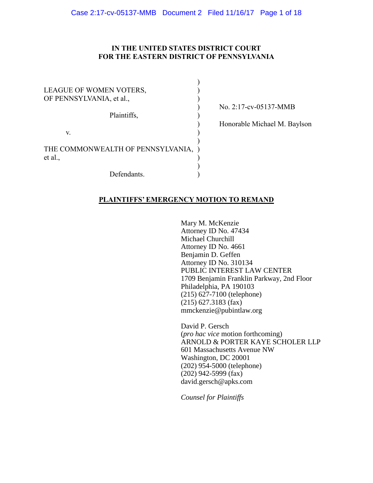# **IN THE UNITED STATES DISTRICT COURT FOR THE EASTERN DISTRICT OF PENNSYLVANIA**

| LEAGUE OF WOMEN VOTERS,<br>OF PENNSYLVANIA, et al., |  |
|-----------------------------------------------------|--|
| Plaintiffs,                                         |  |
| V.                                                  |  |
| THE COMMONWEALTH OF PENNSYLVANIA,<br>et al.,        |  |
| Defendants.                                         |  |

) No. 2:17-cv-05137-MMB

) Honorable Michael M. Baylson

# **PLAINTIFFS' EMERGENCY MOTION TO REMAND**

Mary M. McKenzie Attorney ID No. 47434 Michael Churchill Attorney ID No. 4661 Benjamin D. Geffen Attorney ID No. 310134 PUBLIC INTEREST LAW CENTER 1709 Benjamin Franklin Parkway, 2nd Floor Philadelphia, PA 190103 (215) 627-7100 (telephone) (215) 627.3183 (fax) mmckenzie@pubintlaw.org

David P. Gersch (*pro hac vice* motion forthcoming) ARNOLD & PORTER KAYE SCHOLER LLP 601 Massachusetts Avenue NW Washington, DC 20001 (202) 954-5000 (telephone) (202) 942-5999 (fax) david.gersch@apks.com

*Counsel for Plaintiffs*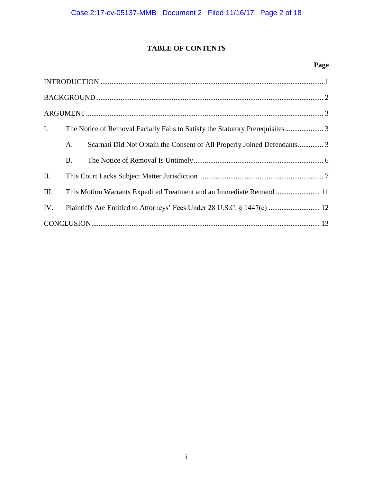# **TABLE OF CONTENTS**

# **Page**

| $\mathbf{I}$ . | The Notice of Removal Facially Fails to Satisfy the Statutory Prerequisites 3 |                                                                         |  |
|----------------|-------------------------------------------------------------------------------|-------------------------------------------------------------------------|--|
|                | A.                                                                            | Scarnati Did Not Obtain the Consent of All Properly Joined Defendants 3 |  |
|                | <b>B.</b>                                                                     |                                                                         |  |
| II.            |                                                                               |                                                                         |  |
| III.           | This Motion Warrants Expedited Treatment and an Immediate Remand  11          |                                                                         |  |
| IV.            |                                                                               |                                                                         |  |
|                |                                                                               |                                                                         |  |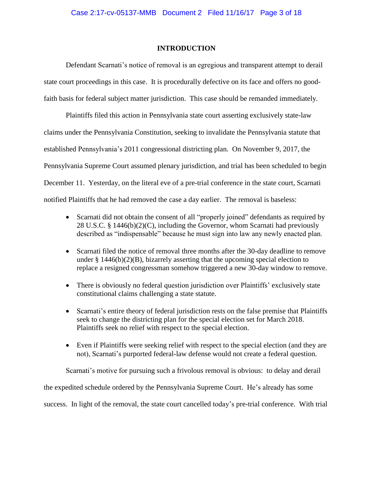# **INTRODUCTION**

<span id="page-2-0"></span>Defendant Scarnati's notice of removal is an egregious and transparent attempt to derail state court proceedings in this case. It is procedurally defective on its face and offers no goodfaith basis for federal subject matter jurisdiction. This case should be remanded immediately.

Plaintiffs filed this action in Pennsylvania state court asserting exclusively state-law claims under the Pennsylvania Constitution, seeking to invalidate the Pennsylvania statute that established Pennsylvania's 2011 congressional districting plan. On November 9, 2017, the Pennsylvania Supreme Court assumed plenary jurisdiction, and trial has been scheduled to begin December 11. Yesterday, on the literal eve of a pre-trial conference in the state court, Scarnati notified Plaintiffs that he had removed the case a day earlier. The removal is baseless:

- Scarnati did not obtain the consent of all "properly joined" defendants as required by 28 U.S.C. § 1446(b)(2)(C), including the Governor, whom Scarnati had previously described as "indispensable" because he must sign into law any newly enacted plan.
- Scarnati filed the notice of removal three months after the 30-day deadline to remove under  $\S$  1446(b)(2)(B), bizarrely asserting that the upcoming special election to replace a resigned congressman somehow triggered a new 30-day window to remove.
- There is obviously no federal question jurisdiction over Plaintiffs' exclusively state constitutional claims challenging a state statute.
- Scarnati's entire theory of federal jurisdiction rests on the false premise that Plaintiffs seek to change the districting plan for the special election set for March 2018. Plaintiffs seek no relief with respect to the special election.
- Even if Plaintiffs were seeking relief with respect to the special election (and they are not), Scarnati's purported federal-law defense would not create a federal question.

Scarnati's motive for pursuing such a frivolous removal is obvious: to delay and derail the expedited schedule ordered by the Pennsylvania Supreme Court. He's already has some

success. In light of the removal, the state court cancelled today's pre-trial conference. With trial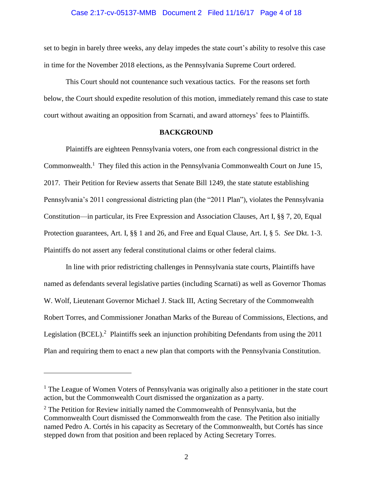#### Case 2:17-cv-05137-MMB Document 2 Filed 11/16/17 Page 4 of 18

set to begin in barely three weeks, any delay impedes the state court's ability to resolve this case in time for the November 2018 elections, as the Pennsylvania Supreme Court ordered.

This Court should not countenance such vexatious tactics. For the reasons set forth below, the Court should expedite resolution of this motion, immediately remand this case to state court without awaiting an opposition from Scarnati, and award attorneys' fees to Plaintiffs.

#### **BACKGROUND**

<span id="page-3-0"></span>Plaintiffs are eighteen Pennsylvania voters, one from each congressional district in the Commonwealth.<sup>1</sup> They filed this action in the Pennsylvania Commonwealth Court on June 15, 2017. Their Petition for Review asserts that Senate Bill 1249, the state statute establishing Pennsylvania's 2011 congressional districting plan (the "2011 Plan"), violates the Pennsylvania Constitution—in particular, its Free Expression and Association Clauses, Art I, §§ 7, 20, Equal Protection guarantees, Art. I, §§ 1 and 26, and Free and Equal Clause, Art. I, § 5. *See* Dkt. 1-3. Plaintiffs do not assert any federal constitutional claims or other federal claims.

In line with prior redistricting challenges in Pennsylvania state courts, Plaintiffs have named as defendants several legislative parties (including Scarnati) as well as Governor Thomas W. Wolf, Lieutenant Governor Michael J. Stack III, Acting Secretary of the Commonwealth Robert Torres, and Commissioner Jonathan Marks of the Bureau of Commissions, Elections, and Legislation (BCEL).<sup>2</sup> Plaintiffs seek an injunction prohibiting Defendants from using the 2011 Plan and requiring them to enact a new plan that comports with the Pennsylvania Constitution.

 $\overline{a}$ 

<sup>&</sup>lt;sup>1</sup> The League of Women Voters of Pennsylvania was originally also a petitioner in the state court action, but the Commonwealth Court dismissed the organization as a party.

 $2$  The Petition for Review initially named the Commonwealth of Pennsylvania, but the Commonwealth Court dismissed the Commonwealth from the case. The Petition also initially named Pedro A. Cortés in his capacity as Secretary of the Commonwealth, but Cortés has since stepped down from that position and been replaced by Acting Secretary Torres.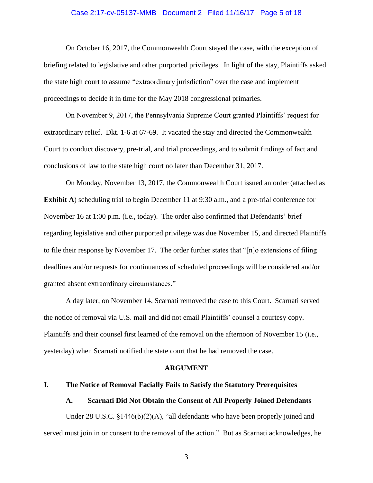#### Case 2:17-cv-05137-MMB Document 2 Filed 11/16/17 Page 5 of 18

On October 16, 2017, the Commonwealth Court stayed the case, with the exception of briefing related to legislative and other purported privileges. In light of the stay, Plaintiffs asked the state high court to assume "extraordinary jurisdiction" over the case and implement proceedings to decide it in time for the May 2018 congressional primaries.

On November 9, 2017, the Pennsylvania Supreme Court granted Plaintiffs' request for extraordinary relief. Dkt. 1-6 at 67-69. It vacated the stay and directed the Commonwealth Court to conduct discovery, pre-trial, and trial proceedings, and to submit findings of fact and conclusions of law to the state high court no later than December 31, 2017.

On Monday, November 13, 2017, the Commonwealth Court issued an order (attached as **Exhibit A**) scheduling trial to begin December 11 at 9:30 a.m., and a pre-trial conference for November 16 at 1:00 p.m. (i.e., today). The order also confirmed that Defendants' brief regarding legislative and other purported privilege was due November 15, and directed Plaintiffs to file their response by November 17. The order further states that "[n]o extensions of filing deadlines and/or requests for continuances of scheduled proceedings will be considered and/or granted absent extraordinary circumstances."

A day later, on November 14, Scarnati removed the case to this Court. Scarnati served the notice of removal via U.S. mail and did not email Plaintiffs' counsel a courtesy copy. Plaintiffs and their counsel first learned of the removal on the afternoon of November 15 (i.e., yesterday) when Scarnati notified the state court that he had removed the case.

#### **ARGUMENT**

#### <span id="page-4-2"></span><span id="page-4-1"></span><span id="page-4-0"></span>**I. The Notice of Removal Facially Fails to Satisfy the Statutory Prerequisites**

#### **A. Scarnati Did Not Obtain the Consent of All Properly Joined Defendants**

Under 28 U.S.C. §1446(b)(2)(A), "all defendants who have been properly joined and served must join in or consent to the removal of the action." But as Scarnati acknowledges, he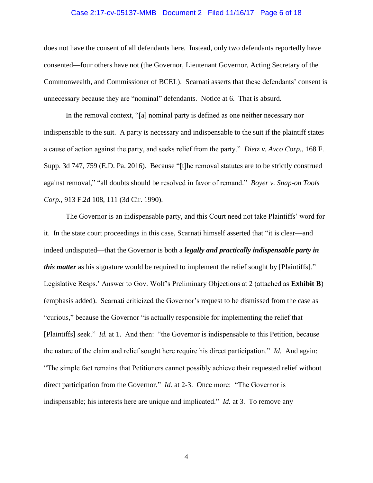#### Case 2:17-cv-05137-MMB Document 2 Filed 11/16/17 Page 6 of 18

does not have the consent of all defendants here. Instead, only two defendants reportedly have consented—four others have not (the Governor, Lieutenant Governor, Acting Secretary of the Commonwealth, and Commissioner of BCEL). Scarnati asserts that these defendants' consent is unnecessary because they are "nominal" defendants. Notice at 6. That is absurd.

In the removal context, "[a] nominal party is defined as one neither necessary nor indispensable to the suit. A party is necessary and indispensable to the suit if the plaintiff states a cause of action against the party, and seeks relief from the party." *Dietz v. Avco Corp.*, 168 F. Supp. 3d 747, 759 (E.D. Pa. 2016). Because "[t]he removal statutes are to be strictly construed against removal," "all doubts should be resolved in favor of remand." *Boyer v. Snap-on Tools Corp.*, 913 F.2d 108, 111 (3d Cir. 1990).

The Governor is an indispensable party, and this Court need not take Plaintiffs' word for it. In the state court proceedings in this case, Scarnati himself asserted that "it is clear—and indeed undisputed—that the Governor is both a *legally and practically indispensable party in this matter* as his signature would be required to implement the relief sought by [Plaintiffs]." Legislative Resps.' Answer to Gov. Wolf's Preliminary Objections at 2 (attached as **Exhibit B**) (emphasis added). Scarnati criticized the Governor's request to be dismissed from the case as "curious," because the Governor "is actually responsible for implementing the relief that [Plaintiffs] seek." *Id.* at 1. And then: "the Governor is indispensable to this Petition, because the nature of the claim and relief sought here require his direct participation." *Id.* And again: "The simple fact remains that Petitioners cannot possibly achieve their requested relief without direct participation from the Governor." *Id.* at 2-3. Once more: "The Governor is indispensable; his interests here are unique and implicated." *Id.* at 3. To remove any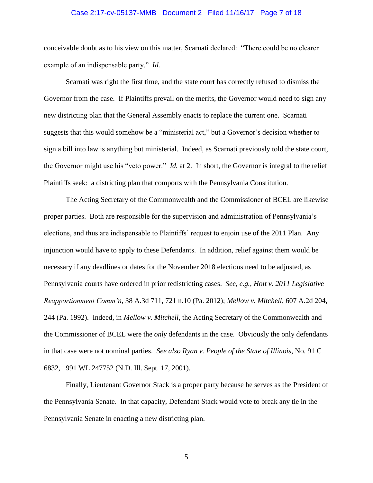#### Case 2:17-cv-05137-MMB Document 2 Filed 11/16/17 Page 7 of 18

conceivable doubt as to his view on this matter, Scarnati declared: "There could be no clearer example of an indispensable party." *Id.*

Scarnati was right the first time, and the state court has correctly refused to dismiss the Governor from the case. If Plaintiffs prevail on the merits, the Governor would need to sign any new districting plan that the General Assembly enacts to replace the current one. Scarnati suggests that this would somehow be a "ministerial act," but a Governor's decision whether to sign a bill into law is anything but ministerial. Indeed, as Scarnati previously told the state court, the Governor might use his "veto power." *Id.* at 2. In short, the Governor is integral to the relief Plaintiffs seek: a districting plan that comports with the Pennsylvania Constitution.

The Acting Secretary of the Commonwealth and the Commissioner of BCEL are likewise proper parties. Both are responsible for the supervision and administration of Pennsylvania's elections, and thus are indispensable to Plaintiffs' request to enjoin use of the 2011 Plan. Any injunction would have to apply to these Defendants. In addition, relief against them would be necessary if any deadlines or dates for the November 2018 elections need to be adjusted, as Pennsylvania courts have ordered in prior redistricting cases. *See, e.g.*, *Holt v. 2011 Legislative Reapportionment Comm'n*, 38 A.3d 711, 721 n.10 (Pa. 2012); *Mellow v. Mitchell*, 607 A.2d 204, 244 (Pa. 1992). Indeed, in *Mellow v. Mitchell*, the Acting Secretary of the Commonwealth and the Commissioner of BCEL were the *only* defendants in the case. Obviously the only defendants in that case were not nominal parties. *See also Ryan v. People of the State of Illinois*, No. 91 C 6832, 1991 WL 247752 (N.D. Ill. Sept. 17, 2001).

Finally, Lieutenant Governor Stack is a proper party because he serves as the President of the Pennsylvania Senate. In that capacity, Defendant Stack would vote to break any tie in the Pennsylvania Senate in enacting a new districting plan.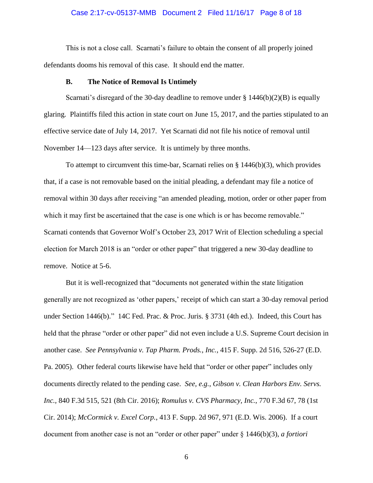#### Case 2:17-cv-05137-MMB Document 2 Filed 11/16/17 Page 8 of 18

This is not a close call. Scarnati's failure to obtain the consent of all properly joined defendants dooms his removal of this case. It should end the matter.

#### **B. The Notice of Removal Is Untimely**

<span id="page-7-0"></span>Scarnati's disregard of the 30-day deadline to remove under  $\S$  1446(b)(2)(B) is equally glaring. Plaintiffs filed this action in state court on June 15, 2017, and the parties stipulated to an effective service date of July 14, 2017. Yet Scarnati did not file his notice of removal until November 14—123 days after service. It is untimely by three months.

To attempt to circumvent this time-bar, Scarnati relies on § 1446(b)(3), which provides that, if a case is not removable based on the initial pleading, a defendant may file a notice of removal within 30 days after receiving "an amended pleading, motion, order or other paper from which it may first be ascertained that the case is one which is or has become removable." Scarnati contends that Governor Wolf's October 23, 2017 Writ of Election scheduling a special election for March 2018 is an "order or other paper" that triggered a new 30-day deadline to remove. Notice at 5-6.

But it is well-recognized that "documents not generated within the state litigation generally are not recognized as 'other papers,' receipt of which can start a 30-day removal period under Section 1446(b)." 14C Fed. Prac. & Proc. Juris. § 3731 (4th ed.). Indeed, this Court has held that the phrase "order or other paper" did not even include a U.S. Supreme Court decision in another case. *See Pennsylvania v. Tap Pharm. Prods., Inc.*, 415 F. Supp. 2d 516, 526-27 (E.D. Pa. 2005). Other federal courts likewise have held that "order or other paper" includes only documents directly related to the pending case. *See, e.g.*, *Gibson v. Clean Harbors Env. Servs. Inc.,* 840 F.3d 515, 521 (8th Cir. 2016); *Romulus v. CVS Pharmacy, Inc.*, 770 F.3d 67, 78 (1st Cir. 2014); *McCormick v. Excel Corp.*, 413 F. Supp. 2d 967, 971 (E.D. Wis. 2006). If a court document from another case is not an "order or other paper" under § 1446(b)(3), *a fortiori*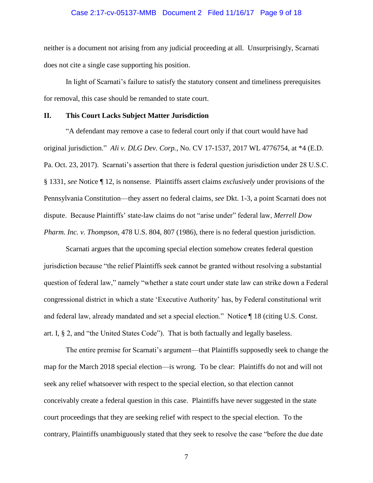#### Case 2:17-cv-05137-MMB Document 2 Filed 11/16/17 Page 9 of 18

neither is a document not arising from any judicial proceeding at all. Unsurprisingly, Scarnati does not cite a single case supporting his position.

In light of Scarnati's failure to satisfy the statutory consent and timeliness prerequisites for removal, this case should be remanded to state court.

## <span id="page-8-0"></span>**II. This Court Lacks Subject Matter Jurisdiction**

"A defendant may remove a case to federal court only if that court would have had original jurisdiction." *Ali v. DLG Dev. Corp.*, No. CV 17-1537, 2017 WL 4776754, at \*4 (E.D. Pa. Oct. 23, 2017). Scarnati's assertion that there is federal question jurisdiction under 28 U.S.C. § 1331, *see* Notice ¶ 12, is nonsense. Plaintiffs assert claims *exclusively* under provisions of the Pennsylvania Constitution—they assert no federal claims, *see* Dkt. 1-3, a point Scarnati does not dispute. Because Plaintiffs' state-law claims do not "arise under" federal law, *Merrell Dow Pharm. Inc. v. Thompson*, 478 U.S. 804, 807 (1986), there is no federal question jurisdiction.

Scarnati argues that the upcoming special election somehow creates federal question jurisdiction because "the relief Plaintiffs seek cannot be granted without resolving a substantial question of federal law," namely "whether a state court under state law can strike down a Federal congressional district in which a state 'Executive Authority' has, by Federal constitutional writ and federal law, already mandated and set a special election." Notice ¶ 18 (citing U.S. Const. art. I, § 2, and "the United States Code"). That is both factually and legally baseless.

The entire premise for Scarnati's argument—that Plaintiffs supposedly seek to change the map for the March 2018 special election—is wrong. To be clear: Plaintiffs do not and will not seek any relief whatsoever with respect to the special election, so that election cannot conceivably create a federal question in this case. Plaintiffs have never suggested in the state court proceedings that they are seeking relief with respect to the special election. To the contrary, Plaintiffs unambiguously stated that they seek to resolve the case "before the due date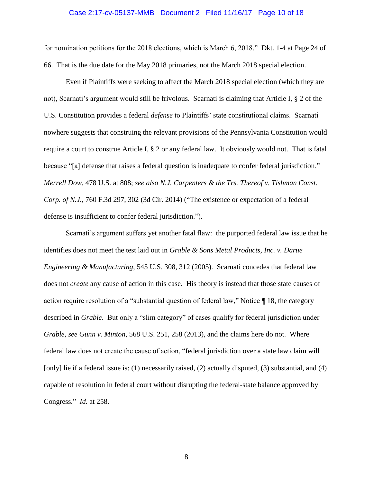#### Case 2:17-cv-05137-MMB Document 2 Filed 11/16/17 Page 10 of 18

for nomination petitions for the 2018 elections, which is March 6, 2018." Dkt. 1-4 at Page 24 of 66. That is the due date for the May 2018 primaries, not the March 2018 special election.

Even if Plaintiffs were seeking to affect the March 2018 special election (which they are not), Scarnati's argument would still be frivolous. Scarnati is claiming that Article I, § 2 of the U.S. Constitution provides a federal *defense* to Plaintiffs' state constitutional claims. Scarnati nowhere suggests that construing the relevant provisions of the Pennsylvania Constitution would require a court to construe Article I, § 2 or any federal law. It obviously would not. That is fatal because "[a] defense that raises a federal question is inadequate to confer federal jurisdiction." *Merrell Dow*, 478 U.S. at 808; *see also N.J. Carpenters & the Trs. Thereof v. Tishman Const. Corp. of N.J.*, 760 F.3d 297, 302 (3d Cir. 2014) ("The existence or expectation of a federal defense is insufficient to confer federal jurisdiction.").

Scarnati's argument suffers yet another fatal flaw: the purported federal law issue that he identifies does not meet the test laid out in *Grable & Sons Metal Products, Inc. v. Darue Engineering & Manufacturing*, 545 U.S. 308, 312 (2005). Scarnati concedes that federal law does not *create* any cause of action in this case. His theory is instead that those state causes of action require resolution of a "substantial question of federal law," Notice ¶ 18, the category described in *Grable*. But only a "slim category" of cases qualify for federal jurisdiction under *Grable*, *see Gunn v. Minton*, 568 U.S. 251, 258 (2013), and the claims here do not. Where federal law does not create the cause of action, "federal jurisdiction over a state law claim will [only] lie if a federal issue is: (1) necessarily raised, (2) actually disputed, (3) substantial, and (4) capable of resolution in federal court without disrupting the federal-state balance approved by Congress." *Id.* at 258.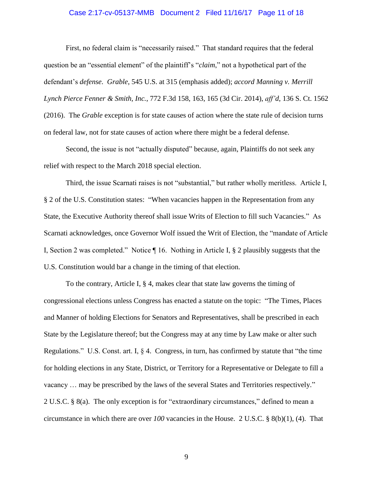#### Case 2:17-cv-05137-MMB Document 2 Filed 11/16/17 Page 11 of 18

First, no federal claim is "necessarily raised." That standard requires that the federal question be an "essential element" of the plaintiff's "*claim*," not a hypothetical part of the defendant's *defense*. *Grable*, 545 U.S. at 315 (emphasis added); *accord Manning v. Merrill Lynch Pierce Fenner & Smith, Inc.*, 772 F.3d 158, 163, 165 (3d Cir. 2014), *aff'd*, 136 S. Ct. 1562 (2016). The *Grable* exception is for state causes of action where the state rule of decision turns on federal law, not for state causes of action where there might be a federal defense.

Second, the issue is not "actually disputed" because, again, Plaintiffs do not seek any relief with respect to the March 2018 special election.

Third, the issue Scarnati raises is not "substantial," but rather wholly meritless. Article I, § 2 of the U.S. Constitution states: "When vacancies happen in the Representation from any State, the Executive Authority thereof shall issue Writs of Election to fill such Vacancies." As Scarnati acknowledges, once Governor Wolf issued the Writ of Election, the "mandate of Article I, Section 2 was completed." Notice ¶ 16. Nothing in Article I, § 2 plausibly suggests that the U.S. Constitution would bar a change in the timing of that election.

To the contrary, Article I, § 4, makes clear that state law governs the timing of congressional elections unless Congress has enacted a statute on the topic: "The Times, Places and Manner of holding Elections for Senators and Representatives, shall be prescribed in each State by the Legislature thereof; but the Congress may at any time by Law make or alter such Regulations." U.S. Const. art. I, § 4. Congress, in turn, has confirmed by statute that "the time for holding elections in any State, District, or Territory for a Representative or Delegate to fill a vacancy … may be prescribed by the laws of the several States and Territories respectively." 2 U.S.C. § 8(a). The only exception is for "extraordinary circumstances," defined to mean a circumstance in which there are over *100* vacancies in the House. 2 U.S.C. § 8(b)(1), (4). That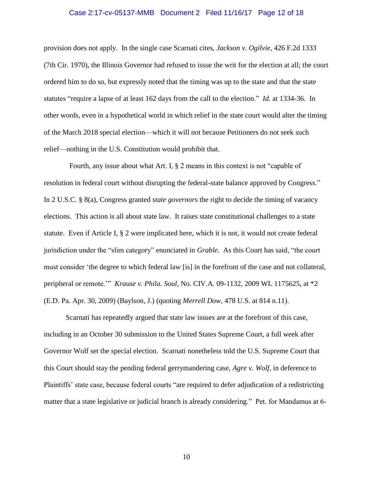#### Case 2:17-cv-05137-MMB Document 2 Filed 11/16/17 Page 12 of 18

provision does not apply. In the single case Scarnati cites, *Jackson v. Ogilvie*, 426 F.2d 1333 (7th Cir. 1970), the Illinois Governor had refused to issue the writ for the election at all; the court ordered him to do so, but expressly noted that the timing was up to the state and that the state statutes "require a lapse of at least 162 days from the call to the election." *Id.* at 1334-36. In other words, even in a hypothetical world in which relief in the state court would alter the timing of the March 2018 special election—which it will not because Petitioners do not seek such relief—nothing in the U.S. Constitution would prohibit that.

 Fourth, any issue about what Art. I, § 2 means in this context is not "capable of resolution in federal court without disrupting the federal-state balance approved by Congress." In 2 U.S.C. § 8(a), Congress granted *state governors* the right to decide the timing of vacancy elections. This action is all about state law. It raises state constitutional challenges to a state statute. Even if Article I, § 2 were implicated here, which it is not, it would not create federal jurisdiction under the "slim category" enunciated in *Grable*. As this Court has said, "the court must consider 'the degree to which federal law [is] in the forefront of the case and not collateral, peripheral or remote.'" *Krause v. Phila. Soul*, No. CIV.A. 09-1132, 2009 WL 1175625, at \*2 (E.D. Pa. Apr. 30, 2009) (Baylson, J.) (quoting *Merrell Dow*, 478 U.S. at 814 n.11).

Scarnati has repeatedly argued that state law issues are at the forefront of this case, including in an October 30 submission to the United States Supreme Court, a full week after Governor Wolf set the special election. Scarnati nonetheless told the U.S. Supreme Court that this Court should stay the pending federal gerrymandering case, *Agre v. Wolf*, in deference to Plaintiffs' state case, because federal courts "are required to defer adjudication of a redistricting matter that a state legislative or judicial branch is already considering." Pet. for Mandamus at 6-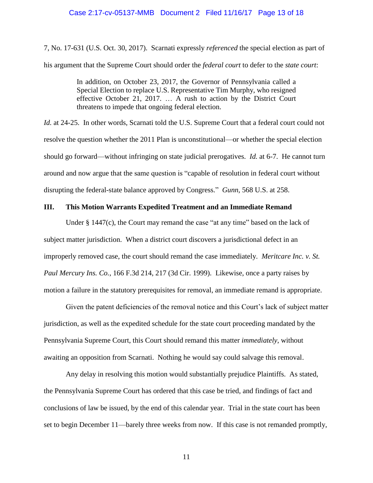#### Case 2:17-cv-05137-MMB Document 2 Filed 11/16/17 Page 13 of 18

7, No. 17-631 (U.S. Oct. 30, 2017). Scarnati expressly *referenced* the special election as part of his argument that the Supreme Court should order the *federal court* to defer to the *state court*:

> In addition, on October 23, 2017, the Governor of Pennsylvania called a Special Election to replace U.S. Representative Tim Murphy, who resigned effective October 21, 2017. … A rush to action by the District Court threatens to impede that ongoing federal election.

*Id.* at 24-25. In other words, Scarnati told the U.S. Supreme Court that a federal court could not resolve the question whether the 2011 Plan is unconstitutional—or whether the special election should go forward—without infringing on state judicial prerogatives. *Id.* at 6-7. He cannot turn around and now argue that the same question is "capable of resolution in federal court without disrupting the federal-state balance approved by Congress." *Gunn*, 568 U.S. at 258.

#### <span id="page-12-0"></span>**III. This Motion Warrants Expedited Treatment and an Immediate Remand**

Under § 1447(c), the Court may remand the case "at any time" based on the lack of subject matter jurisdiction. When a district court discovers a jurisdictional defect in an improperly removed case, the court should remand the case immediately. *Meritcare Inc. v. St. Paul Mercury Ins. Co.*, 166 F.3d 214, 217 (3d Cir. 1999). Likewise, once a party raises by motion a failure in the statutory prerequisites for removal, an immediate remand is appropriate.

Given the patent deficiencies of the removal notice and this Court's lack of subject matter jurisdiction, as well as the expedited schedule for the state court proceeding mandated by the Pennsylvania Supreme Court, this Court should remand this matter *immediately*, without awaiting an opposition from Scarnati. Nothing he would say could salvage this removal.

Any delay in resolving this motion would substantially prejudice Plaintiffs. As stated, the Pennsylvania Supreme Court has ordered that this case be tried, and findings of fact and conclusions of law be issued, by the end of this calendar year. Trial in the state court has been set to begin December 11—barely three weeks from now. If this case is not remanded promptly,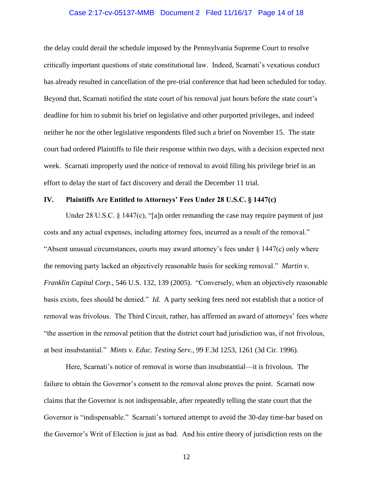#### Case 2:17-cv-05137-MMB Document 2 Filed 11/16/17 Page 14 of 18

the delay could derail the schedule imposed by the Pennsylvania Supreme Court to resolve critically important questions of state constitutional law. Indeed, Scarnati's vexatious conduct has already resulted in cancellation of the pre-trial conference that had been scheduled for today. Beyond that, Scarnati notified the state court of his removal just hours before the state court's deadline for him to submit his brief on legislative and other purported privileges, and indeed neither he nor the other legislative respondents filed such a brief on November 15. The state court had ordered Plaintiffs to file their response within two days, with a decision expected next week. Scarnati improperly used the notice of removal to avoid filing his privilege brief in an effort to delay the start of fact discovery and derail the December 11 trial.

#### <span id="page-13-0"></span>**IV. Plaintiffs Are Entitled to Attorneys' Fees Under 28 U.S.C. § 1447(c)**

Under 28 U.S.C. § 1447(c), "[a]n order remanding the case may require payment of just costs and any actual expenses, including attorney fees, incurred as a result of the removal." "Absent unusual circumstances, courts may award attorney's fees under  $\S$  1447(c) only where the removing party lacked an objectively reasonable basis for seeking removal." *Martin v. Franklin Capital Corp.*, 546 U.S. 132, 139 (2005). "Conversely, when an objectively reasonable basis exists, fees should be denied." *Id.* A party seeking fees need not establish that a notice of removal was frivolous. The Third Circuit, rather, has affirmed an award of attorneys' fees where "the assertion in the removal petition that the district court had jurisdiction was, if not frivolous, at best insubstantial." *Mints v. Educ. Testing Serv.*, 99 F.3d 1253, 1261 (3d Cir. 1996).

Here, Scarnati's notice of removal is worse than insubstantial—it is frivolous. The failure to obtain the Governor's consent to the removal alone proves the point. Scarnati now claims that the Governor is not indispensable, after repeatedly telling the state court that the Governor is "indispensable." Scarnati's tortured attempt to avoid the 30-day time-bar based on the Governor's Writ of Election is just as bad. And his entire theory of jurisdiction rests on the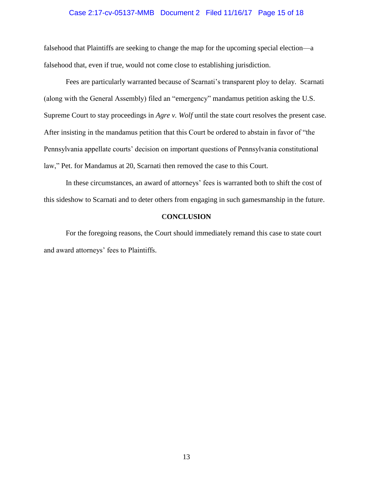#### Case 2:17-cv-05137-MMB Document 2 Filed 11/16/17 Page 15 of 18

falsehood that Plaintiffs are seeking to change the map for the upcoming special election—a falsehood that, even if true, would not come close to establishing jurisdiction.

Fees are particularly warranted because of Scarnati's transparent ploy to delay. Scarnati (along with the General Assembly) filed an "emergency" mandamus petition asking the U.S. Supreme Court to stay proceedings in *Agre v. Wolf* until the state court resolves the present case. After insisting in the mandamus petition that this Court be ordered to abstain in favor of "the Pennsylvania appellate courts' decision on important questions of Pennsylvania constitutional law," Pet. for Mandamus at 20, Scarnati then removed the case to this Court.

In these circumstances, an award of attorneys' fees is warranted both to shift the cost of this sideshow to Scarnati and to deter others from engaging in such gamesmanship in the future.

## **CONCLUSION**

<span id="page-14-0"></span>For the foregoing reasons, the Court should immediately remand this case to state court and award attorneys' fees to Plaintiffs.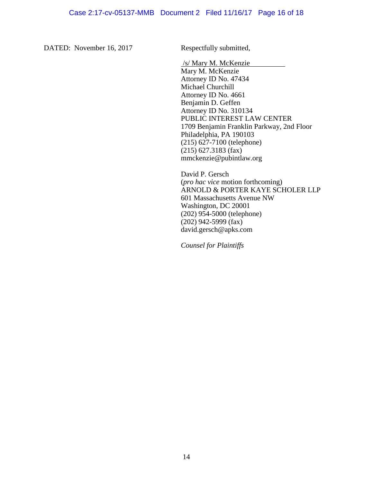DATED: November 16, 2017 Respectfully submitted,

/s/ Mary M. McKenzie

Mary M. McKenzie Attorney ID No. 47434 Michael Churchill Attorney ID No. 4661 Benjamin D. Geffen Attorney ID No. 310134 PUBLIC INTEREST LAW CENTER 1709 Benjamin Franklin Parkway, 2nd Floor Philadelphia, PA 190103 (215) 627-7100 (telephone) (215) 627.3183 (fax) mmckenzie@pubintlaw.org

David P. Gersch (*pro hac vice* motion forthcoming) ARNOLD & PORTER KAYE SCHOLER LLP 601 Massachusetts Avenue NW Washington, DC 20001 (202) 954-5000 (telephone) (202) 942-5999 (fax) david.gersch@apks.com

*Counsel for Plaintiffs*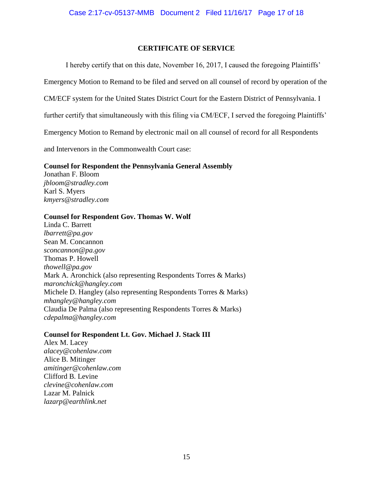# **CERTIFICATE OF SERVICE**

I hereby certify that on this date, November 16, 2017, I caused the foregoing Plaintiffs'

Emergency Motion to Remand to be filed and served on all counsel of record by operation of the

CM/ECF system for the United States District Court for the Eastern District of Pennsylvania. I

further certify that simultaneously with this filing via CM/ECF, I served the foregoing Plaintiffs'

Emergency Motion to Remand by electronic mail on all counsel of record for all Respondents

and Intervenors in the Commonwealth Court case:

## **Counsel for Respondent the Pennsylvania General Assembly**

Jonathan F. Bloom *jbloom@stradley.com* Karl S. Myers *kmyers@stradley.com*

## **Counsel for Respondent Gov. Thomas W. Wolf**

Linda C. Barrett *lbarrett@pa.gov* Sean M. Concannon *sconcannon@pa.gov* Thomas P. Howell *thowell@pa.gov* Mark A. Aronchick (also representing Respondents Torres & Marks) *maronchick@hangley.com* Michele D. Hangley (also representing Respondents Torres & Marks) *mhangley@hangley.com* Claudia De Palma (also representing Respondents Torres & Marks) *cdepalma@hangley.com*

# **Counsel for Respondent Lt. Gov. Michael J. Stack III**

Alex M. Lacey *alacey@cohenlaw.com* Alice B. Mitinger *amitinger@cohenlaw.com* Clifford B. Levine *clevine@cohenlaw.com* Lazar M. Palnick *lazarp@earthlink.net*